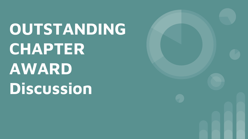**OUTSTANDING CHAPTER AWARD Discussion**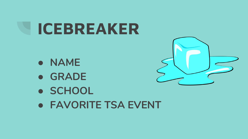# **ICEBREAKER**

- **● NAME**
- **● GRADE**
- **● SCHOOL**
- **● FAVORITE TSA EVENT**

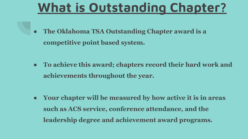# **What is Outstanding Chapter?**

- **● The Oklahoma TSA Outstanding Chapter award is a competitive point based system.**
- **● To achieve this award; chapters record their hard work and achievements throughout the year.**

**● Your chapter will be measured by how active it is in areas such as ACS service, conference attendance, and the leadership degree and achievement award programs.**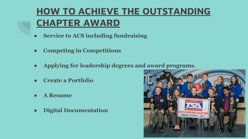#### **HOW TO ACHIEVE THE OUTSTANDING CHAPTER AWARD**

- **● Service to ACS including fundraising**
- **● Competing in Competitions**
- **● Applying for leadership degrees and award programs.**
- **● Create a Portfolio**
- **● A Resume**
- **● Digital Documentation**

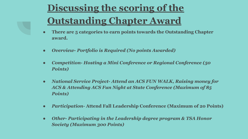## **Discussing the scoring of the Outstanding Chapter Award**

- **● There are 5 categories to earn points towards the Outstanding Chapter award.**
- *● Overview- Portfolio is Required (No points Awarded)*
- *● Competition- Hosting a Mini Conference or Regional Conference (50 Points)*
- *● National Service Project- Attend an ACS FUN WALK, Raising money for ACS & Attending ACS Fun Night at State Conference (Maximum of 85 Points)*
- **●** *Participation* **Attend Fall Leadership Conference (Maximum of 20 Points)**
- *● Other- Participating in the Leadership degree program & TSA Honor Society (Maximum 300 Points)*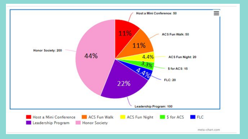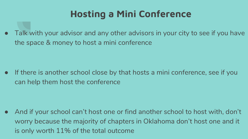#### **Hosting a Mini Conference**

Talk with your advisor and any other advisors in your city to see if you have the space & money to host a mini conference

● If there is another school close by that hosts a mini conference, see if you can help them host the conference

● And if your school can't host one or find another school to host with, don't worry because the majority of chapters in Oklahoma don't host one and it is only worth 11% of the total outcome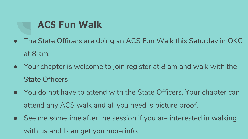#### **ACS Fun Walk**

- The State Officers are doing an ACS Fun Walk this Saturday in OKC at 8 am.
- Your chapter is welcome to join register at 8 am and walk with the State Officers
- You do not have to attend with the State Officers. Your chapter can attend any ACS walk and all you need is picture proof.
- See me sometime after the session if you are interested in walking with us and I can get you more info.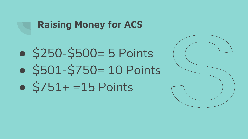#### **Raising Money for ACS**

- \$250-\$500 = 5 Points
- $•$  \$501-\$750= 10 Points
- $•$   $$751+ = 15$  Points

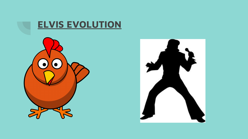

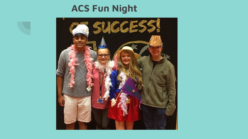#### **ACS Fun Night**

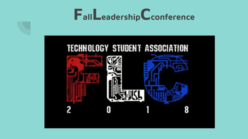

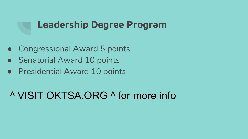#### **Leadership Degree Program**

- Congressional Award 5 points
- Senatorial Award 10 points
- Presidential Award 10 points

#### ^ VISIT OKTSA.ORG ^ for more info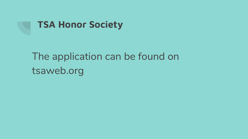

## The application can be found on tsaweb.org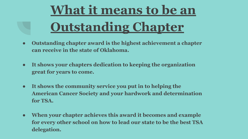# **What it means to be an Outstanding Chapter**

- **● Outstanding chapter award is the highest achievement a chapter can receive in the state of Oklahoma.**
- **● It shows your chapters dedication to keeping the organization great for years to come.**
- **● It shows the community service you put in to helping the American Cancer Society and your hardwork and determination for TSA.**
- **● When your chapter achieves this award it becomes and example for every other school on how to lead our state to be the best TSA delegation.**